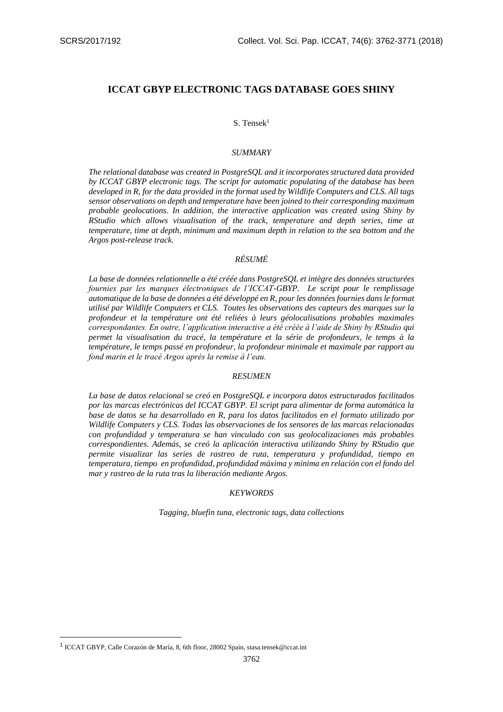# **ICCAT GBYP ELECTRONIC TAGS DATABASE GOES SHINY**

## $S.$  Tensek<sup>1</sup>

## *SUMMARY*

*The relational database was created in PostgreSQL and it incorporates structured data provided by ICCAT GBYP electronic tags. The script for automatic populating of the database has been developed in R, for the data provided in the format used by Wildlife Computers and CLS. All tags sensor observations on depth and temperature have been joined to their corresponding maximum probable geolocations. In addition, the interactive application was created using Shiny by RStudio which allows visualisation of the track, temperature and depth series, time at temperature, time at depth, minimum and maximum depth in relation to the sea bottom and the Argos post-release track.* 

## *RÉSUMÉ*

*La base de données relationnelle a été créée dans PostgreSQL et intègre des données structurées fournies par les marques électroniques de l'ICCAT-GBYP. Le script pour le remplissage automatique de la base de données a été développé en R, pour les données fournies dans le format utilisé par Wildlife Computers et CLS. Toutes les observations des capteurs des marques sur la profondeur et la température ont été reliées à leurs géolocalisations probables maximales correspondantes. En outre, l'application interactive a été créée à l'aide de Shiny by RStudio qui permet la visualisation du tracé, la température et la série de profondeurs, le temps à la température, le temps passé en profondeur, la profondeur minimale et maximale par rapport au fond marin et le tracé Argos après la remise à l'eau.* 

#### *RESUMEN*

*La base de datos relacional se creó en PostgreSQL e incorpora datos estructurados facilitados por las marcas electrónicas del ICCAT GBYP. El script para alimentar de forma automática la base de datos se ha desarrollado en R, para los datos facilitados en el formato utilizado por Wildlife Computers y CLS. Todas las observaciones de los sensores de las marcas relacionadas con profundidad y temperatura se han vinculado con sus geolocalizaciones más probables correspondientes. Además, se creó la aplicación interactiva utilizando Shiny by RStudio que permite visualizar las series de rastreo de ruta, temperatura y profundidad, tiempo en temperatura, tiempo en profundidad, profundidad máxima y mínima en relación con el fondo del mar y rastreo de la ruta tras la liberación mediante Argos.* 

#### *KEYWORDS*

*Tagging, bluefin tuna, electronic tags, data collections*

**.** 

<sup>1</sup> ICCAT GBYP, Calle Corazón de María, 8, 6th floor, 28002 Spain, stasa.tensek@iccat.int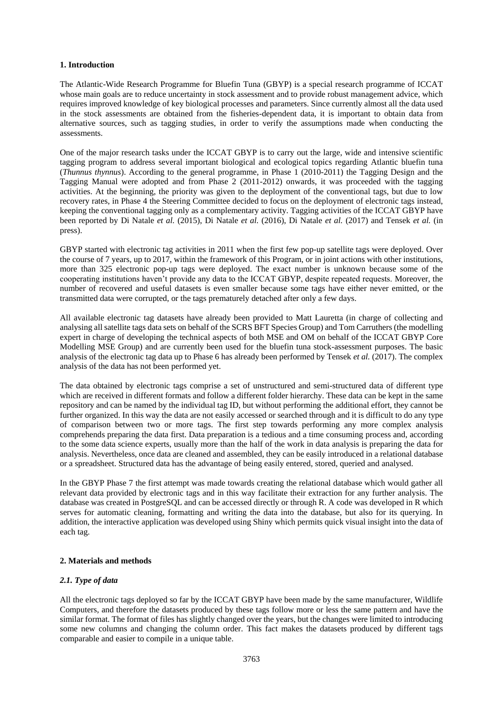## **1. Introduction**

The Atlantic-Wide Research Programme for Bluefin Tuna (GBYP) is a special research programme of ICCAT whose main goals are to reduce uncertainty in stock assessment and to provide robust management advice, which requires improved knowledge of key biological processes and parameters. Since currently almost all the data used in the stock assessments are obtained from the fisheries-dependent data, it is important to obtain data from alternative sources, such as tagging studies, in order to verify the assumptions made when conducting the assessments.

One of the major research tasks under the ICCAT GBYP is to carry out the large, wide and intensive scientific tagging program to address several important biological and ecological topics regarding Atlantic bluefin tuna (*Thunnus thynnus*). According to the general programme, in Phase 1 (2010-2011) the Tagging Design and the Tagging Manual were adopted and from Phase 2 (2011-2012) onwards, it was proceeded with the tagging activities. At the beginning, the priority was given to the deployment of the conventional tags, but due to low recovery rates, in Phase 4 the Steering Committee decided to focus on the deployment of electronic tags instead, keeping the conventional tagging only as a complementary activity. Tagging activities of the ICCAT GBYP have been reported by Di Natale *et al.* (2015), Di Natale *et al.* (2016), Di Natale *et al.* (2017) and Tensek *et al.* (in press).

GBYP started with electronic tag activities in 2011 when the first few pop-up satellite tags were deployed. Over the course of 7 years, up to 2017, within the framework of this Program, or in joint actions with other institutions, more than 325 electronic pop-up tags were deployed. The exact number is unknown because some of the cooperating institutions haven't provide any data to the ICCAT GBYP, despite repeated requests. Moreover, the number of recovered and useful datasets is even smaller because some tags have either never emitted, or the transmitted data were corrupted, or the tags prematurely detached after only a few days.

All available electronic tag datasets have already been provided to Matt Lauretta (in charge of collecting and analysing all satellite tags data sets on behalf of the SCRS BFT Species Group) and Tom Carruthers (the modelling expert in charge of developing the technical aspects of both MSE and OM on behalf of the ICCAT GBYP Core Modelling MSE Group) and are currently been used for the bluefin tuna stock-assessment purposes. The basic analysis of the electronic tag data up to Phase 6 has already been performed by Tensek *et al.* (2017). The complex analysis of the data has not been performed yet.

The data obtained by electronic tags comprise a set of unstructured and semi-structured data of different type which are received in different formats and follow a different folder hierarchy. These data can be kept in the same repository and can be named by the individual tag ID, but without performing the additional effort, they cannot be further organized. In this way the data are not easily accessed or searched through and it is difficult to do any type of comparison between two or more tags. The first step towards performing any more complex analysis comprehends preparing the data first. Data preparation is a tedious and a time consuming process and, according to the some data science experts, usually more than the half of the work in data analysis is preparing the data for analysis. Nevertheless, once data are cleaned and assembled, they can be easily introduced in a relational database or a spreadsheet. Structured data has the advantage of being easily entered, stored, queried and analysed.

In the GBYP Phase 7 the first attempt was made towards creating the relational database which would gather all relevant data provided by electronic tags and in this way facilitate their extraction for any further analysis. The database was created in PostgreSQL and can be accessed directly or through R. A code was developed in R which serves for automatic cleaning, formatting and writing the data into the database, but also for its querying. In addition, the interactive application was developed using Shiny which permits quick visual insight into the data of each tag.

# **2. Materials and methods**

# *2.1. Type of data*

All the electronic tags deployed so far by the ICCAT GBYP have been made by the same manufacturer, Wildlife Computers, and therefore the datasets produced by these tags follow more or less the same pattern and have the similar format. The format of files has slightly changed over the years, but the changes were limited to introducing some new columns and changing the column order. This fact makes the datasets produced by different tags comparable and easier to compile in a unique table.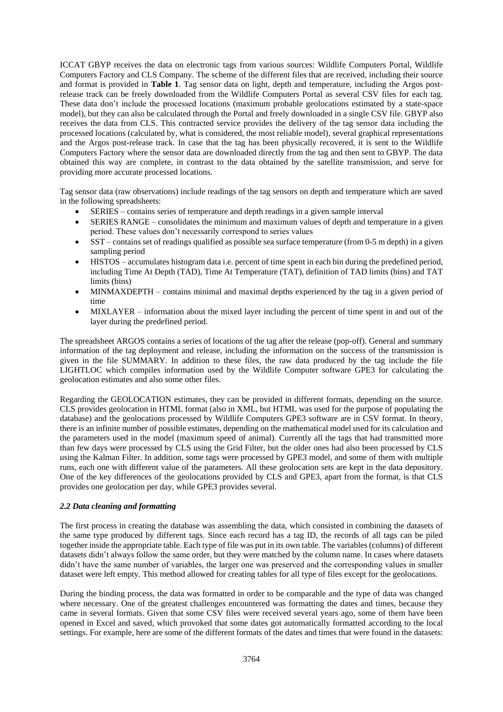ICCAT GBYP receives the data on electronic tags from various sources: Wildlife Computers Portal, Wildlife Computers Factory and CLS Company. The scheme of the different files that are received, including their source and format is provided in **Table 1**. Tag sensor data on light, depth and temperature, including the Argos postrelease track can be freely downloaded from the Wildlife Computers Portal as several CSV files for each tag. These data don't include the processed locations (maximum probable geolocations estimated by a state-space model), but they can also be calculated through the Portal and freely downloaded in a single CSV file. GBYP also receives the data from CLS. This contracted service provides the delivery of the tag sensor data including the processed locations (calculated by, what is considered, the most reliable model), several graphical representations and the Argos post-release track. In case that the tag has been physically recovered, it is sent to the Wildlife Computers Factory where the sensor data are downloaded directly from the tag and then sent to GBYP. The data obtained this way are complete, in contrast to the data obtained by the satellite transmission, and serve for providing more accurate processed locations.

Tag sensor data (raw observations) include readings of the tag sensors on depth and temperature which are saved in the following spreadsheets:

- SERIES contains series of temperature and depth readings in a given sample interval
- SERIES RANGE consolidates the minimum and maximum values of depth and temperature in a given period. These values don't necessarily correspond to series values
- SST contains set of readings qualified as possible sea surface temperature (from 0-5 m depth) in a given sampling period
- HISTOS accumulates histogram data i.e. percent of time spent in each bin during the predefined period, including Time At Depth (TAD), Time At Temperature (TAT), definition of TAD limits (bins) and TAT limits (bins)
- MINMAXDEPTH contains minimal and maximal depths experienced by the tag in a given period of time
- MIXLAYER information about the mixed layer including the percent of time spent in and out of the layer during the predefined period.

The spreadsheet ARGOS contains a series of locations of the tag after the release (pop-off). General and summary information of the tag deployment and release, including the information on the success of the transmission is given in the file SUMMARY. In addition to these files, the raw data produced by the tag include the file LIGHTLOC which compiles information used by the Wildlife Computer software GPE3 for calculating the geolocation estimates and also some other files.

Regarding the GEOLOCATION estimates, they can be provided in different formats, depending on the source. CLS provides geolocation in HTML format (also in XML, but HTML was used for the purpose of populating the database) and the geolocations processed by Wildlife Computers GPE3 software are in CSV format. In theory, there is an infinite number of possible estimates, depending on the mathematical model used for its calculation and the parameters used in the model (maximum speed of animal). Currently all the tags that had transmitted more than few days were processed by CLS using the Grid Filter, but the older ones had also been processed by CLS using the Kalman Filter. In addition, some tags were processed by GPE3 model, and some of them with multiple runs, each one with different value of the parameters. All these geolocation sets are kept in the data depository. One of the key differences of the geolocations provided by CLS and GPE3, apart from the format, is that CLS provides one geolocation per day, while GPE3 provides several.

# *2.2 Data cleaning and formatting*

The first process in creating the database was assembling the data, which consisted in combining the datasets of the same type produced by different tags. Since each record has a tag ID, the records of all tags can be piled together inside the appropriate table. Each type of file was put in its own table. The variables (columns) of different datasets didn't always follow the same order, but they were matched by the column name. In cases where datasets didn't have the same number of variables, the larger one was preserved and the corresponding values in smaller dataset were left empty. This method allowed for creating tables for all type of files except for the geolocations.

During the binding process, the data was formatted in order to be comparable and the type of data was changed where necessary. One of the greatest challenges encountered was formatting the dates and times, because they came in several formats. Given that some CSV files were received several years ago, some of them have been opened in Excel and saved, which provoked that some dates got automatically formatted according to the local settings. For example, here are some of the different formats of the dates and times that were found in the datasets: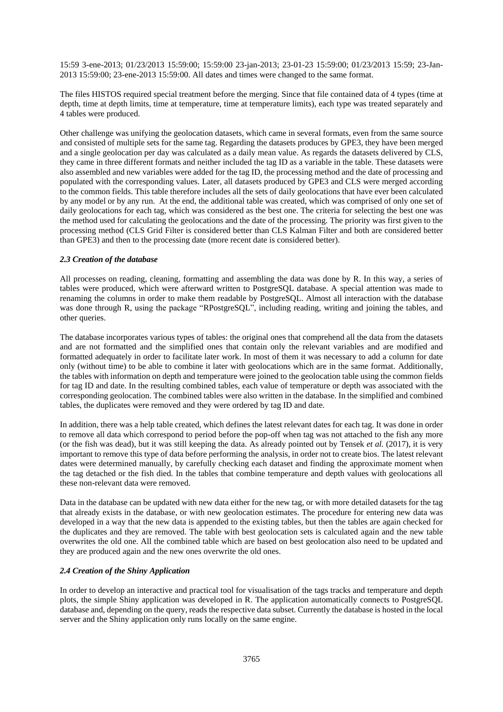15:59 3-ene-2013; 01/23/2013 15:59:00; 15:59:00 23-jan-2013; 23-01-23 15:59:00; 01/23/2013 15:59; 23-Jan-2013 15:59:00; 23-ene-2013 15:59:00. All dates and times were changed to the same format.

The files HISTOS required special treatment before the merging. Since that file contained data of 4 types (time at depth, time at depth limits, time at temperature, time at temperature limits), each type was treated separately and 4 tables were produced.

Other challenge was unifying the geolocation datasets, which came in several formats, even from the same source and consisted of multiple sets for the same tag. Regarding the datasets produces by GPE3, they have been merged and a single geolocation per day was calculated as a daily mean value. As regards the datasets delivered by CLS, they came in three different formats and neither included the tag ID as a variable in the table. These datasets were also assembled and new variables were added for the tag ID, the processing method and the date of processing and populated with the corresponding values. Later, all datasets produced by GPE3 and CLS were merged according to the common fields. This table therefore includes all the sets of daily geolocations that have ever been calculated by any model or by any run. At the end, the additional table was created, which was comprised of only one set of daily geolocations for each tag, which was considered as the best one. The criteria for selecting the best one was the method used for calculating the geolocations and the date of the processing. The priority was first given to the processing method (CLS Grid Filter is considered better than CLS Kalman Filter and both are considered better than GPE3) and then to the processing date (more recent date is considered better).

## *2.3 Creation of the database*

All processes on reading, cleaning, formatting and assembling the data was done by R. In this way, a series of tables were produced, which were afterward written to PostgreSQL database. A special attention was made to renaming the columns in order to make them readable by PostgreSQL. Almost all interaction with the database was done through R, using the package "RPostgreSQL", including reading, writing and joining the tables, and other queries.

The database incorporates various types of tables: the original ones that comprehend all the data from the datasets and are not formatted and the simplified ones that contain only the relevant variables and are modified and formatted adequately in order to facilitate later work. In most of them it was necessary to add a column for date only (without time) to be able to combine it later with geolocations which are in the same format. Additionally, the tables with information on depth and temperature were joined to the geolocation table using the common fields for tag ID and date. In the resulting combined tables, each value of temperature or depth was associated with the corresponding geolocation. The combined tables were also written in the database. In the simplified and combined tables, the duplicates were removed and they were ordered by tag ID and date.

In addition, there was a help table created, which defines the latest relevant dates for each tag. It was done in order to remove all data which correspond to period before the pop-off when tag was not attached to the fish any more (or the fish was dead), but it was still keeping the data. As already pointed out by Tensek *et al.* (2017), it is very important to remove this type of data before performing the analysis, in order not to create bios. The latest relevant dates were determined manually, by carefully checking each dataset and finding the approximate moment when the tag detached or the fish died. In the tables that combine temperature and depth values with geolocations all these non-relevant data were removed.

Data in the database can be updated with new data either for the new tag, or with more detailed datasets for the tag that already exists in the database, or with new geolocation estimates. The procedure for entering new data was developed in a way that the new data is appended to the existing tables, but then the tables are again checked for the duplicates and they are removed. The table with best geolocation sets is calculated again and the new table overwrites the old one. All the combined table which are based on best geolocation also need to be updated and they are produced again and the new ones overwrite the old ones.

#### *2.4 Creation of the Shiny Application*

In order to develop an interactive and practical tool for visualisation of the tags tracks and temperature and depth plots, the simple Shiny application was developed in R. The application automatically connects to PostgreSQL database and, depending on the query, reads the respective data subset. Currently the database is hosted in the local server and the Shiny application only runs locally on the same engine.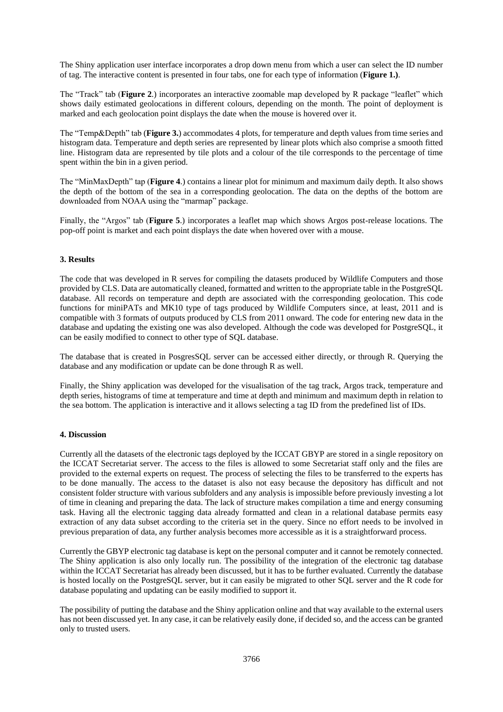The Shiny application user interface incorporates a drop down menu from which a user can select the ID number of tag. The interactive content is presented in four tabs, one for each type of information (**Figure 1.)**.

The "Track" tab (**Figure 2**.) incorporates an interactive zoomable map developed by R package "leaflet" which shows daily estimated geolocations in different colours, depending on the month. The point of deployment is marked and each geolocation point displays the date when the mouse is hovered over it.

The "Temp&Depth" tab (**Figure 3.**) accommodates 4 plots, for temperature and depth values from time series and histogram data. Temperature and depth series are represented by linear plots which also comprise a smooth fitted line. Histogram data are represented by tile plots and a colour of the tile corresponds to the percentage of time spent within the bin in a given period.

The "MinMaxDepth" tap (**Figure 4**.) contains a linear plot for minimum and maximum daily depth. It also shows the depth of the bottom of the sea in a corresponding geolocation. The data on the depths of the bottom are downloaded from NOAA using the "marmap" package.

Finally, the "Argos" tab (**Figure 5**.) incorporates a leaflet map which shows Argos post-release locations. The pop-off point is market and each point displays the date when hovered over with a mouse.

# **3. Results**

The code that was developed in R serves for compiling the datasets produced by Wildlife Computers and those provided by CLS. Data are automatically cleaned, formatted and written to the appropriate table in the PostgreSQL database. All records on temperature and depth are associated with the corresponding geolocation. This code functions for miniPATs and MK10 type of tags produced by Wildlife Computers since, at least, 2011 and is compatible with 3 formats of outputs produced by CLS from 2011 onward. The code for entering new data in the database and updating the existing one was also developed. Although the code was developed for PostgreSQL, it can be easily modified to connect to other type of SQL database.

The database that is created in PosgresSQL server can be accessed either directly, or through R. Querying the database and any modification or update can be done through R as well.

Finally, the Shiny application was developed for the visualisation of the tag track, Argos track, temperature and depth series, histograms of time at temperature and time at depth and minimum and maximum depth in relation to the sea bottom. The application is interactive and it allows selecting a tag ID from the predefined list of IDs.

# **4. Discussion**

Currently all the datasets of the electronic tags deployed by the ICCAT GBYP are stored in a single repository on the ICCAT Secretariat server. The access to the files is allowed to some Secretariat staff only and the files are provided to the external experts on request. The process of selecting the files to be transferred to the experts has to be done manually. The access to the dataset is also not easy because the depository has difficult and not consistent folder structure with various subfolders and any analysis is impossible before previously investing a lot of time in cleaning and preparing the data. The lack of structure makes compilation a time and energy consuming task. Having all the electronic tagging data already formatted and clean in a relational database permits easy extraction of any data subset according to the criteria set in the query. Since no effort needs to be involved in previous preparation of data, any further analysis becomes more accessible as it is a straightforward process.

Currently the GBYP electronic tag database is kept on the personal computer and it cannot be remotely connected. The Shiny application is also only locally run. The possibility of the integration of the electronic tag database within the ICCAT Secretariat has already been discussed, but it has to be further evaluated. Currently the database is hosted locally on the PostgreSQL server, but it can easily be migrated to other SQL server and the R code for database populating and updating can be easily modified to support it.

The possibility of putting the database and the Shiny application online and that way available to the external users has not been discussed yet. In any case, it can be relatively easily done, if decided so, and the access can be granted only to trusted users.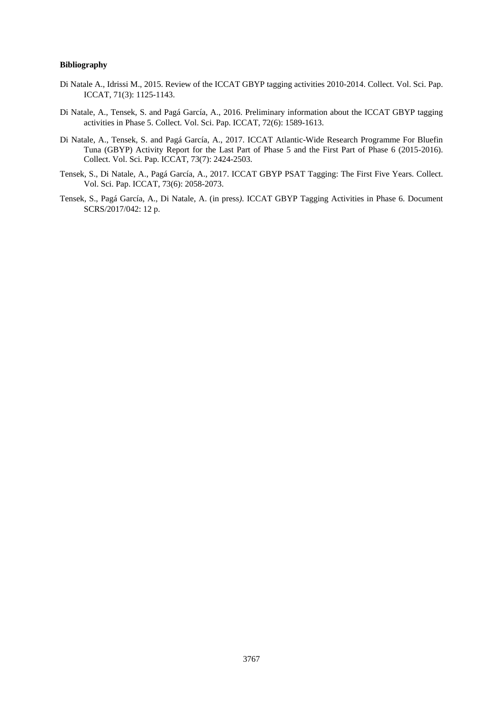## **Bibliography**

- Di Natale A., Idrissi M., 2015. Review of the ICCAT GBYP tagging activities 2010-2014. Collect. Vol. Sci. Pap. ICCAT, 71(3): 1125-1143.
- Di Natale, A., Tensek, S. and Pagá García, A., 2016. Preliminary information about the ICCAT GBYP tagging activities in Phase 5. Collect. Vol. Sci. Pap. ICCAT, 72(6): 1589-1613.
- Di Natale, A., Tensek, S. and Pagá García, A., 2017. ICCAT Atlantic-Wide Research Programme For Bluefin Tuna (GBYP) Activity Report for the Last Part of Phase 5 and the First Part of Phase 6 (2015-2016). Collect. Vol. Sci. Pap. ICCAT, 73(7): 2424-2503.
- Tensek, S., Di Natale, A., Pagá García, A., 2017. ICCAT GBYP PSAT Tagging: The First Five Years. Collect. Vol. Sci. Pap. ICCAT, 73(6): 2058-2073.
- Tensek, S., Pagá García, A., Di Natale, A. (in press*)*. ICCAT GBYP Tagging Activities in Phase 6. Document SCRS/2017/042: 12 p.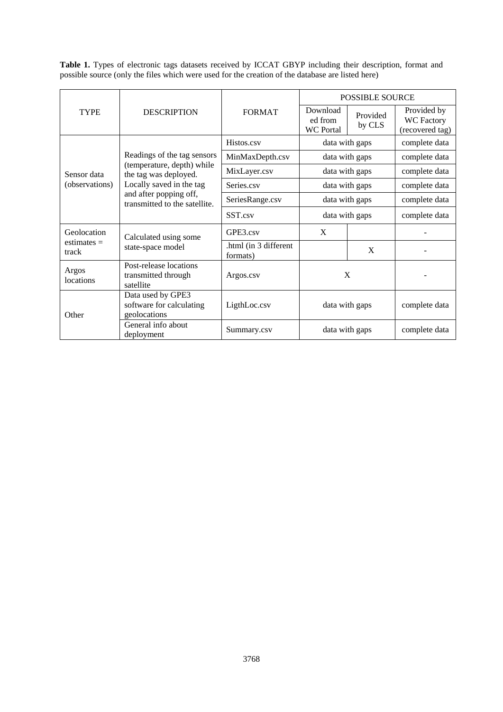**Table 1.** Types of electronic tags datasets received by ICCAT GBYP including their description, format and possible source (only the files which were used for the creation of the database are listed here)

| <b>TYPE</b>                           | <b>DESCRIPTION</b>                                                                                                                                                        | <b>FORMAT</b>                     | <b>POSSIBLE SOURCE</b>                  |                    |                                                     |
|---------------------------------------|---------------------------------------------------------------------------------------------------------------------------------------------------------------------------|-----------------------------------|-----------------------------------------|--------------------|-----------------------------------------------------|
|                                       |                                                                                                                                                                           |                                   | Download<br>ed from<br><b>WC</b> Portal | Provided<br>by CLS | Provided by<br><b>WC Factory</b><br>(recovered tag) |
| Sensor data<br>(observations)         | Readings of the tag sensors<br>(temperature, depth) while<br>the tag was deployed.<br>Locally saved in the tag<br>and after popping off,<br>transmitted to the satellite. | Histos.csv                        | data with gaps                          |                    | complete data                                       |
|                                       |                                                                                                                                                                           | MinMaxDepth.csv                   | data with gaps                          |                    | complete data                                       |
|                                       |                                                                                                                                                                           | MixLayer.csv                      | data with gaps                          |                    | complete data                                       |
|                                       |                                                                                                                                                                           | Series.csv                        | data with gaps                          |                    | complete data                                       |
|                                       |                                                                                                                                                                           | SeriesRange.csv                   | data with gaps                          |                    | complete data                                       |
|                                       |                                                                                                                                                                           | SST.csv                           | data with gaps                          |                    | complete data                                       |
| Geolocation<br>estimates $=$<br>track | Calculated using some<br>state-space model                                                                                                                                | GPE3.csv                          | X                                       |                    |                                                     |
|                                       |                                                                                                                                                                           | .html (in 3 different<br>formats) |                                         | X                  |                                                     |
| Argos<br>locations                    | Post-release locations<br>transmitted through<br>satellite                                                                                                                | Argos.csv                         | X                                       |                    |                                                     |
| Other                                 | Data used by GPE3<br>software for calculating<br>geolocations                                                                                                             | LigthLoc.csv                      | data with gaps                          |                    | complete data                                       |
|                                       | General info about<br>deployment                                                                                                                                          | Summary.csv                       | data with gaps                          |                    | complete data                                       |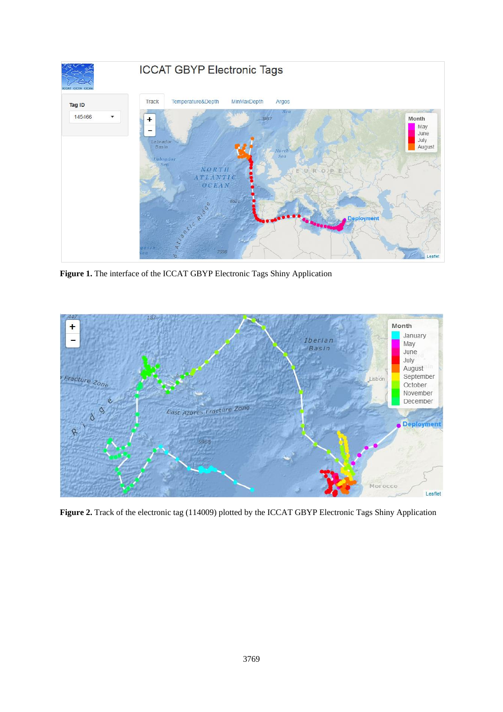

**Figure 1.** The interface of the ICCAT GBYP Electronic Tags Shiny Application



**Figure 2.** Track of the electronic tag (114009) plotted by the ICCAT GBYP Electronic Tags Shiny Application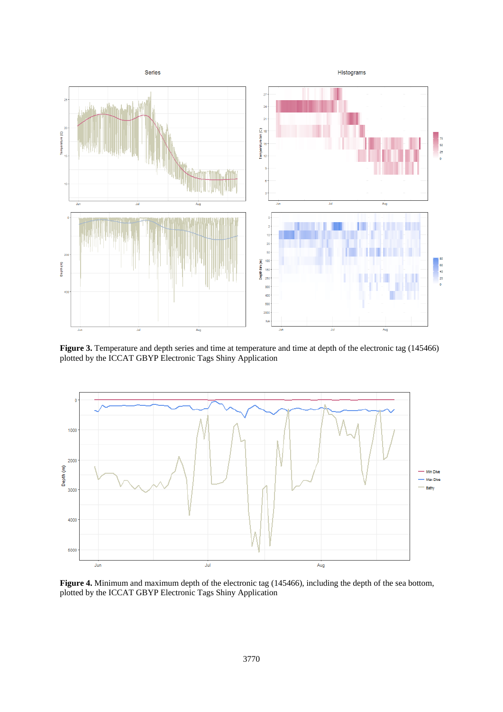

**Figure 3.** Temperature and depth series and time at temperature and time at depth of the electronic tag (145466) plotted by the ICCAT GBYP Electronic Tags Shiny Application



**Figure 4.** Minimum and maximum depth of the electronic tag (145466), including the depth of the sea bottom, plotted by the ICCAT GBYP Electronic Tags Shiny Application